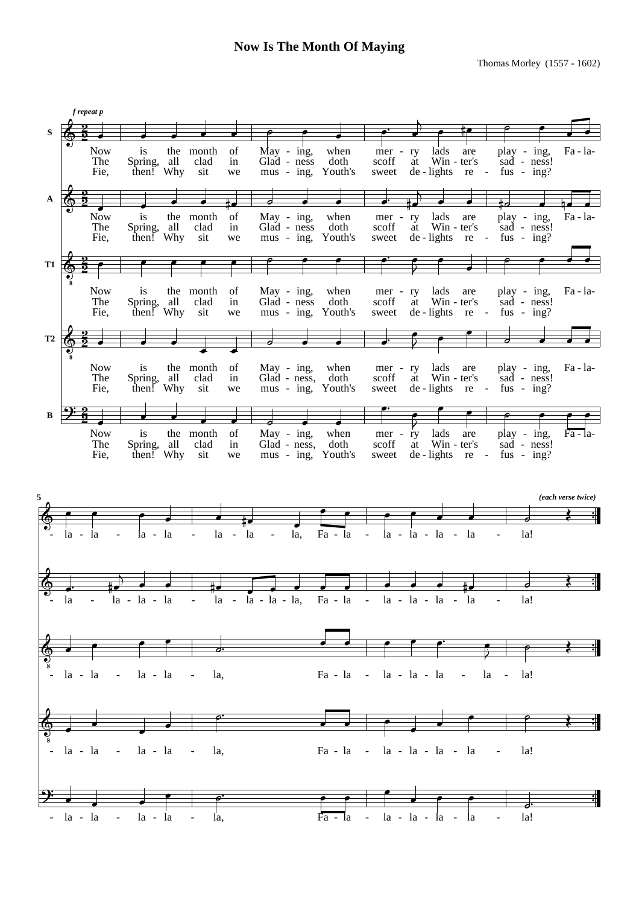